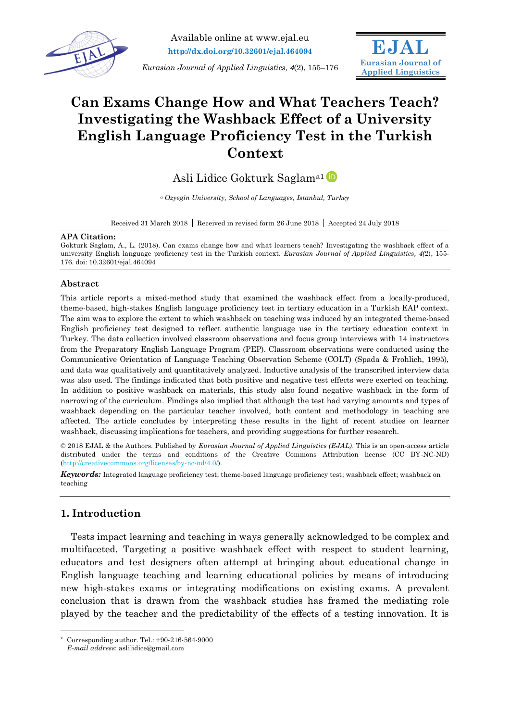

**EJAL Eurasian Journal of Applied Linguistics**

# **Can Exams Change How and What Teachers Teach? Investigating the Washback Effect of a University English Language Proficiency Test in the Turkish Context**

Asli Lidice Gokturk Saglama1

*<sup>a</sup> Ozyegin University, School of Languages, Istanbul, Turkey*

Received 31 March 2018 Received in revised form 26 June 2018 Accepted 24 July 2018

#### **APA Citation:**

Gokturk Saglam, A., L. (2018). Can exams change how and what learners teach? Investigating the washback effect of a university English language proficiency test in the Turkish context. *Eurasian Journal of Applied Linguistics, 4(*2), 155- 176. doi: 10.32601/ejal.464094

## **Abstract**

This article reports a mixed-method study that examined the washback effect from a locally-produced, theme-based, high-stakes English language proficiency test in tertiary education in a Turkish EAP context. The aim was to explore the extent to which washback on teaching was induced by an integrated theme-based English proficiency test designed to reflect authentic language use in the tertiary education context in Turkey. The data collection involved classroom observations and focus group interviews with 14 instructors from the Preparatory English Language Program (PEP). Classroom observations were conducted using the Communicative Orientation of Language Teaching Observation Scheme (COLT) (Spada & Frohlich, 1995), and data was qualitatively and quantitatively analyzed. Inductive analysis of the transcribed interview data was also used. The findings indicated that both positive and negative test effects were exerted on teaching. In addition to positive washback on materials, this study also found negative washback in the form of narrowing of the curriculum. Findings also implied that although the test had varying amounts and types of washback depending on the particular teacher involved, both content and methodology in teaching are affected. The article concludes by interpreting these results in the light of recent studies on learner washback, discussing implications for teachers, and providing suggestions for further research.

© 2018 EJAL & the Authors. Published by *Eurasian Journal of Applied Linguistics (EJAL)*. This is an open-access article distributed under the terms and conditions of the Creative Commons Attribution license (CC BY-NC-ND) (http://creativecommons.org/licenses/by-nc-nd/4.0/).

*Keywords:* Integrated language proficiency test; theme-based language proficiency test; washback effect; washback on teaching

## **1. Introduction**

 $\overline{a}$ 

Tests impact learning and teaching in ways generally acknowledged to be complex and multifaceted. Targeting a positive washback effect with respect to student learning, educators and test designers often attempt at bringing about educational change in English language teaching and learning educational policies by means of introducing new high-stakes exams or integrating modifications on existing exams. A prevalent conclusion that is drawn from the washback studies has framed the mediating role played by the teacher and the predictability of the effects of a testing innovation. It is

Corresponding author. Tel.:  $+90-216-564-9000$ 

*E-mail address*: aslilidice@gmail.com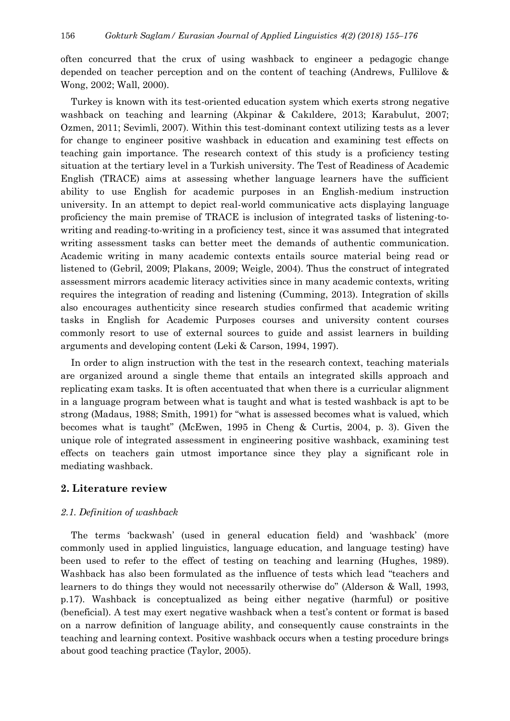often concurred that the crux of using washback to engineer a pedagogic change depended on teacher perception and on the content of teaching (Andrews, Fullilove & Wong, 2002; Wall, 2000).

Turkey is known with its test-oriented education system which exerts strong negative washback on teaching and learning (Akpinar & Cakıldere, 2013; Karabulut, 2007; Ozmen, 2011; Sevimli, 2007). Within this test-dominant context utilizing tests as a lever for change to engineer positive washback in education and examining test effects on teaching gain importance. The research context of this study is a proficiency testing situation at the tertiary level in a Turkish university. The Test of Readiness of Academic English (TRACE) aims at assessing whether language learners have the sufficient ability to use English for academic purposes in an English-medium instruction university. In an attempt to depict real-world communicative acts displaying language proficiency the main premise of TRACE is inclusion of integrated tasks of listening-towriting and reading-to-writing in a proficiency test, since it was assumed that integrated writing assessment tasks can better meet the demands of authentic communication. Academic writing in many academic contexts entails source material being read or listened to (Gebril, 2009; Plakans, 2009; Weigle, 2004). Thus the construct of integrated assessment mirrors academic literacy activities since in many academic contexts, writing requires the integration of reading and listening (Cumming, 2013). Integration of skills also encourages authenticity since research studies confirmed that academic writing tasks in English for Academic Purposes courses and university content courses commonly resort to use of external sources to guide and assist learners in building arguments and developing content (Leki & Carson, 1994, 1997).

In order to align instruction with the test in the research context, teaching materials are organized around a single theme that entails an integrated skills approach and replicating exam tasks. It is often accentuated that when there is a curricular alignment in a language program between what is taught and what is tested washback is apt to be strong (Madaus, 1988; Smith, 1991) for "what is assessed becomes what is valued, which becomes what is taught" (McEwen, 1995 in Cheng & Curtis, 2004, p. 3). Given the unique role of integrated assessment in engineering positive washback, examining test effects on teachers gain utmost importance since they play a significant role in mediating washback.

## **2. Literature review**

## *2.1. Definition of washback*

The terms 'backwash' (used in general education field) and 'washback' (more commonly used in applied linguistics, language education, and language testing) have been used to refer to the effect of testing on teaching and learning (Hughes, 1989). Washback has also been formulated as the influence of tests which lead "teachers and learners to do things they would not necessarily otherwise do" (Alderson & Wall, 1993, p.17). Washback is conceptualized as being either negative (harmful) or positive (beneficial). A test may exert negative washback when a test's content or format is based on a narrow definition of language ability, and consequently cause constraints in the teaching and learning context. Positive washback occurs when a testing procedure brings about good teaching practice (Taylor, 2005).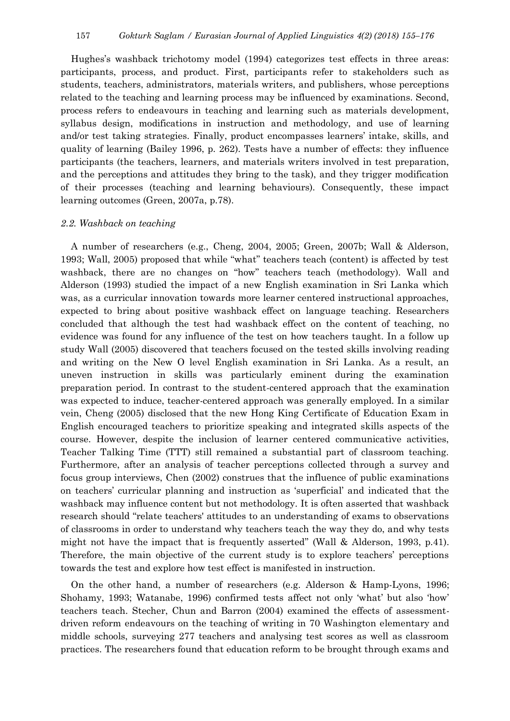Hughes's washback trichotomy model (1994) categorizes test effects in three areas: participants, process, and product. First, participants refer to stakeholders such as students, teachers, administrators, materials writers, and publishers, whose perceptions related to the teaching and learning process may be influenced by examinations. Second, process refers to endeavours in teaching and learning such as materials development, syllabus design, modifications in instruction and methodology, and use of learning and/or test taking strategies. Finally, product encompasses learners' intake, skills, and quality of learning (Bailey 1996, p. 262). Tests have a number of effects: they influence participants (the teachers, learners, and materials writers involved in test preparation, and the perceptions and attitudes they bring to the task), and they trigger modification of their processes (teaching and learning behaviours). Consequently, these impact learning outcomes (Green, 2007a, p.78).

#### *2.2. Washback on teaching*

A number of researchers (e.g., Cheng, 2004, 2005; Green, 2007b; Wall & Alderson, 1993; Wall, 2005) proposed that while "what" teachers teach (content) is affected by test washback, there are no changes on "how" teachers teach (methodology). Wall and Alderson (1993) studied the impact of a new English examination in Sri Lanka which was, as a curricular innovation towards more learner centered instructional approaches, expected to bring about positive washback effect on language teaching. Researchers concluded that although the test had washback effect on the content of teaching, no evidence was found for any influence of the test on how teachers taught. In a follow up study Wall (2005) discovered that teachers focused on the tested skills involving reading and writing on the New O level English examination in Sri Lanka. As a result, an uneven instruction in skills was particularly eminent during the examination preparation period. In contrast to the student-centered approach that the examination was expected to induce, teacher-centered approach was generally employed. In a similar vein, Cheng (2005) disclosed that the new Hong King Certificate of Education Exam in English encouraged teachers to prioritize speaking and integrated skills aspects of the course. However, despite the inclusion of learner centered communicative activities, Teacher Talking Time (TTT) still remained a substantial part of classroom teaching. Furthermore, after an analysis of teacher perceptions collected through a survey and focus group interviews, Chen (2002) construes that the influence of public examinations on teachers' curricular planning and instruction as 'superficial' and indicated that the washback may influence content but not methodology. It is often asserted that washback research should "relate teachers' attitudes to an understanding of exams to observations of classrooms in order to understand why teachers teach the way they do, and why tests might not have the impact that is frequently asserted" (Wall & Alderson, 1993, p.41). Therefore, the main objective of the current study is to explore teachers' perceptions towards the test and explore how test effect is manifested in instruction.

On the other hand, a number of researchers (e.g. Alderson & Hamp-Lyons, 1996; Shohamy, 1993; Watanabe, 1996) confirmed tests affect not only 'what' but also 'how' teachers teach. Stecher, Chun and Barron (2004) examined the effects of assessmentdriven reform endeavours on the teaching of writing in 70 Washington elementary and middle schools, surveying 277 teachers and analysing test scores as well as classroom practices. The researchers found that education reform to be brought through exams and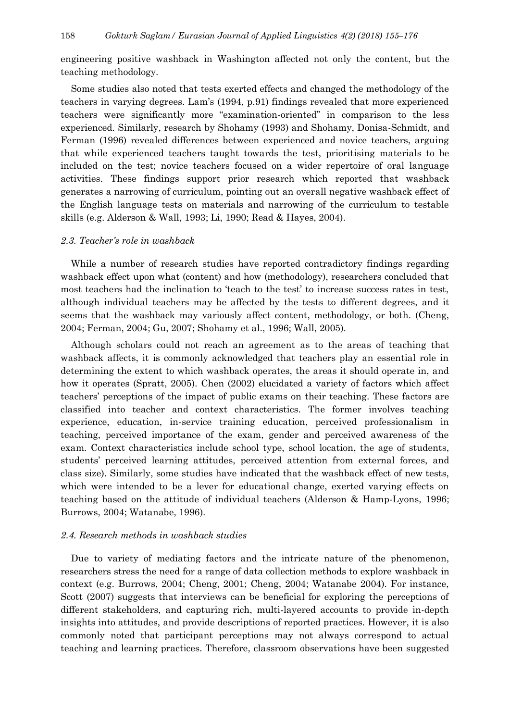engineering positive washback in Washington affected not only the content, but the teaching methodology.

Some studies also noted that tests exerted effects and changed the methodology of the teachers in varying degrees. Lam's (1994, p.91) findings revealed that more experienced teachers were significantly more "examination-oriented" in comparison to the less experienced. Similarly, research by Shohamy (1993) and Shohamy, Donisa-Schmidt, and Ferman (1996) revealed differences between experienced and novice teachers, arguing that while experienced teachers taught towards the test, prioritising materials to be included on the test; novice teachers focused on a wider repertoire of oral language activities. These findings support prior research which reported that washback generates a narrowing of curriculum, pointing out an overall negative washback effect of the English language tests on materials and narrowing of the curriculum to testable skills (e.g. Alderson & Wall, 1993; Li, 1990; Read & Hayes, 2004).

## *2.3. Teacher's role in washback*

While a number of research studies have reported contradictory findings regarding washback effect upon what (content) and how (methodology), researchers concluded that most teachers had the inclination to 'teach to the test' to increase success rates in test, although individual teachers may be affected by the tests to different degrees, and it seems that the washback may variously affect content, methodology, or both. (Cheng, 2004; Ferman, 2004; Gu, 2007; Shohamy et al., 1996; Wall, 2005).

Although scholars could not reach an agreement as to the areas of teaching that washback affects, it is commonly acknowledged that teachers play an essential role in determining the extent to which washback operates, the areas it should operate in, and how it operates (Spratt, 2005). Chen (2002) elucidated a variety of factors which affect teachers' perceptions of the impact of public exams on their teaching. These factors are classified into teacher and context characteristics. The former involves teaching experience, education, in-service training education, perceived professionalism in teaching, perceived importance of the exam, gender and perceived awareness of the exam. Context characteristics include school type, school location, the age of students, students' perceived learning attitudes, perceived attention from external forces, and class size). Similarly, some studies have indicated that the washback effect of new tests, which were intended to be a lever for educational change, exerted varying effects on teaching based on the attitude of individual teachers (Alderson & Hamp-Lyons, 1996; Burrows, 2004; Watanabe, 1996).

#### *2.4. Research methods in washback studies*

Due to variety of mediating factors and the intricate nature of the phenomenon, researchers stress the need for a range of data collection methods to explore washback in context (e.g. Burrows, 2004; Cheng, 2001; Cheng, 2004; Watanabe 2004). For instance, Scott (2007) suggests that interviews can be beneficial for exploring the perceptions of different stakeholders, and capturing rich, multi-layered accounts to provide in-depth insights into attitudes, and provide descriptions of reported practices. However, it is also commonly noted that participant perceptions may not always correspond to actual teaching and learning practices. Therefore, classroom observations have been suggested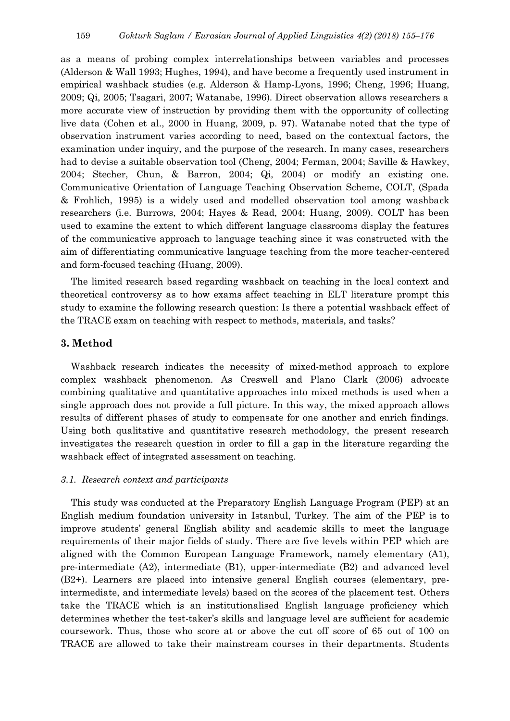as a means of probing complex interrelationships between variables and processes (Alderson & Wall 1993; Hughes, 1994), and have become a frequently used instrument in empirical washback studies (e.g. Alderson & Hamp-Lyons, 1996; Cheng, 1996; Huang, 2009; Qi, 2005; Tsagari, 2007; Watanabe, 1996). Direct observation allows researchers a more accurate view of instruction by providing them with the opportunity of collecting live data (Cohen et al., 2000 in Huang, 2009, p. 97). Watanabe noted that the type of observation instrument varies according to need, based on the contextual factors, the examination under inquiry, and the purpose of the research. In many cases, researchers had to devise a suitable observation tool (Cheng, 2004; Ferman, 2004; Saville & Hawkey, 2004; Stecher, Chun, & Barron, 2004; Qi, 2004) or modify an existing one. Communicative Orientation of Language Teaching Observation Scheme, COLT, (Spada & Frohlich, 1995) is a widely used and modelled observation tool among washback researchers (i.e. Burrows, 2004; Hayes & Read, 2004; Huang, 2009). COLT has been used to examine the extent to which different language classrooms display the features of the communicative approach to language teaching since it was constructed with the aim of differentiating communicative language teaching from the more teacher-centered and form-focused teaching (Huang, 2009).

The limited research based regarding washback on teaching in the local context and theoretical controversy as to how exams affect teaching in ELT literature prompt this study to examine the following research question: Is there a potential washback effect of the TRACE exam on teaching with respect to methods, materials, and tasks?

## **3. Method**

Washback research indicates the necessity of mixed-method approach to explore complex washback phenomenon. As Creswell and Plano Clark (2006) advocate combining qualitative and quantitative approaches into mixed methods is used when a single approach does not provide a full picture. In this way, the mixed approach allows results of different phases of study to compensate for one another and enrich findings. Using both qualitative and quantitative research methodology, the present research investigates the research question in order to fill a gap in the literature regarding the washback effect of integrated assessment on teaching.

## *3.1. Research context and participants*

This study was conducted at the Preparatory English Language Program (PEP) at an English medium foundation university in Istanbul, Turkey. The aim of the PEP is to improve students' general English ability and academic skills to meet the language requirements of their major fields of study. There are five levels within PEP which are aligned with the Common European Language Framework, namely elementary (A1), pre-intermediate (A2), intermediate (B1), upper-intermediate (B2) and advanced level (B2+). Learners are placed into intensive general English courses (elementary, preintermediate, and intermediate levels) based on the scores of the placement test. Others take the TRACE which is an institutionalised English language proficiency which determines whether the test-taker's skills and language level are sufficient for academic coursework. Thus, those who score at or above the cut off score of 65 out of 100 on TRACE are allowed to take their mainstream courses in their departments. Students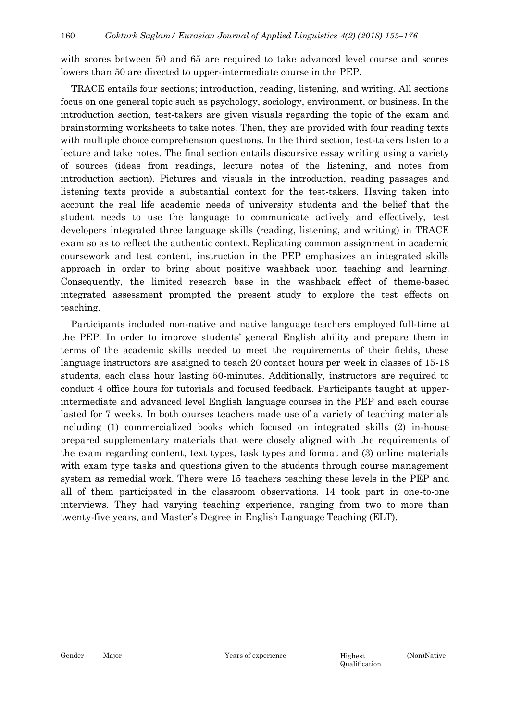with scores between 50 and 65 are required to take advanced level course and scores lowers than 50 are directed to upper-intermediate course in the PEP.

TRACE entails four sections; introduction, reading, listening, and writing. All sections focus on one general topic such as psychology, sociology, environment, or business. In the introduction section, test-takers are given visuals regarding the topic of the exam and brainstorming worksheets to take notes. Then, they are provided with four reading texts with multiple choice comprehension questions. In the third section, test-takers listen to a lecture and take notes. The final section entails discursive essay writing using a variety of sources (ideas from readings, lecture notes of the listening, and notes from introduction section). Pictures and visuals in the introduction, reading passages and listening texts provide a substantial context for the test-takers. Having taken into account the real life academic needs of university students and the belief that the student needs to use the language to communicate actively and effectively, test developers integrated three language skills (reading, listening, and writing) in TRACE exam so as to reflect the authentic context. Replicating common assignment in academic coursework and test content, instruction in the PEP emphasizes an integrated skills approach in order to bring about positive washback upon teaching and learning. Consequently, the limited research base in the washback effect of theme-based integrated assessment prompted the present study to explore the test effects on teaching.

Participants included non-native and native language teachers employed full-time at the PEP. In order to improve students' general English ability and prepare them in terms of the academic skills needed to meet the requirements of their fields, these language instructors are assigned to teach 20 contact hours per week in classes of 15-18 students, each class hour lasting 50-minutes. Additionally, instructors are required to conduct 4 office hours for tutorials and focused feedback. Participants taught at upperintermediate and advanced level English language courses in the PEP and each course lasted for 7 weeks. In both courses teachers made use of a variety of teaching materials including (1) commercialized books which focused on integrated skills (2) in-house prepared supplementary materials that were closely aligned with the requirements of the exam regarding content, text types, task types and format and (3) online materials with exam type tasks and questions given to the students through course management system as remedial work. There were 15 teachers teaching these levels in the PEP and all of them participated in the classroom observations. 14 took part in one-to-one interviews. They had varying teaching experience, ranging from two to more than twenty-five years, and Master's Degree in English Language Teaching (ELT).

| Gender | Major | <b>TTP</b><br>Years of experience<br>Highest |               | (Non)Native |
|--------|-------|----------------------------------------------|---------------|-------------|
|        |       |                                              | Qualification |             |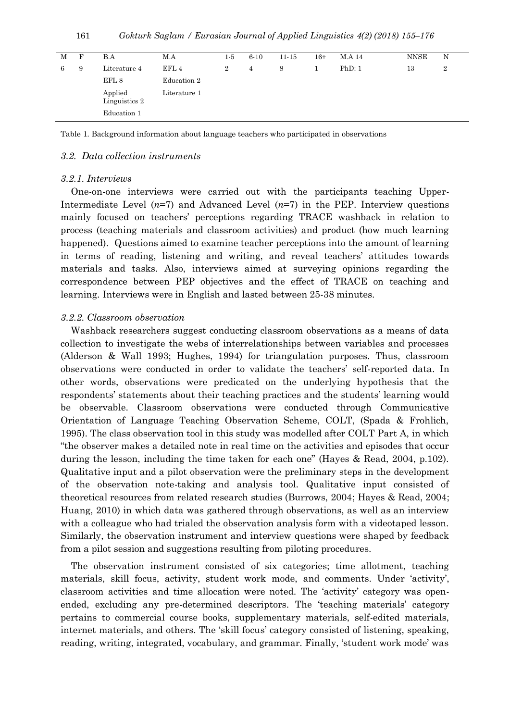| 161 | Gokturk Saglam / Eurasian Journal of Applied Linguistics 4(2) (2018) 155–176 |  |  |  |  |  |  |  |  |
|-----|------------------------------------------------------------------------------|--|--|--|--|--|--|--|--|
|-----|------------------------------------------------------------------------------|--|--|--|--|--|--|--|--|

| М | F | B.A                      | M.A          | 1-5    | $6 - 10$ | $11 - 15$ | $16+$ | M.A 14 | NNSE | N |
|---|---|--------------------------|--------------|--------|----------|-----------|-------|--------|------|---|
| 6 | 9 | Literature 4             | EFL 4        | $^{2}$ | 4        | 8         |       | PhD: 1 | 13   | 2 |
|   |   | EFL 8                    | Education 2  |        |          |           |       |        |      |   |
|   |   | Applied<br>Linguistics 2 | Literature 1 |        |          |           |       |        |      |   |
|   |   | Education 1              |              |        |          |           |       |        |      |   |
|   |   |                          |              |        |          |           |       |        |      |   |

Table 1. Background information about language teachers who participated in observations

## *3.2. Data collection instruments*

#### *3.2.1. Interviews*

One-on-one interviews were carried out with the participants teaching Upper-Intermediate Level  $(n=7)$  and Advanced Level  $(n=7)$  in the PEP. Interview questions mainly focused on teachers' perceptions regarding TRACE washback in relation to process (teaching materials and classroom activities) and product (how much learning happened). Questions aimed to examine teacher perceptions into the amount of learning in terms of reading, listening and writing, and reveal teachers' attitudes towards materials and tasks. Also, interviews aimed at surveying opinions regarding the correspondence between PEP objectives and the effect of TRACE on teaching and learning. Interviews were in English and lasted between 25-38 minutes.

#### *3.2.2. Classroom observation*

Washback researchers suggest conducting classroom observations as a means of data collection to investigate the webs of interrelationships between variables and processes (Alderson & Wall 1993; Hughes, 1994) for triangulation purposes. Thus, classroom observations were conducted in order to validate the teachers' self-reported data. In other words, observations were predicated on the underlying hypothesis that the respondents' statements about their teaching practices and the students' learning would be observable. Classroom observations were conducted through Communicative Orientation of Language Teaching Observation Scheme, COLT, (Spada & Frohlich, 1995). The class observation tool in this study was modelled after COLT Part A, in which "the observer makes a detailed note in real time on the activities and episodes that occur during the lesson, including the time taken for each one" (Hayes & Read, 2004, p.102). Qualitative input and a pilot observation were the preliminary steps in the development of the observation note-taking and analysis tool. Qualitative input consisted of theoretical resources from related research studies (Burrows, 2004; Hayes & Read, 2004; Huang, 2010) in which data was gathered through observations, as well as an interview with a colleague who had trialed the observation analysis form with a videotaped lesson. Similarly, the observation instrument and interview questions were shaped by feedback from a pilot session and suggestions resulting from piloting procedures.

The observation instrument consisted of six categories; time allotment, teaching materials, skill focus, activity, student work mode, and comments. Under 'activity', classroom activities and time allocation were noted. The 'activity' category was openended, excluding any pre-determined descriptors. The 'teaching materials' category pertains to commercial course books, supplementary materials, self-edited materials, internet materials, and others. The 'skill focus' category consisted of listening, speaking, reading, writing, integrated, vocabulary, and grammar. Finally, 'student work mode' was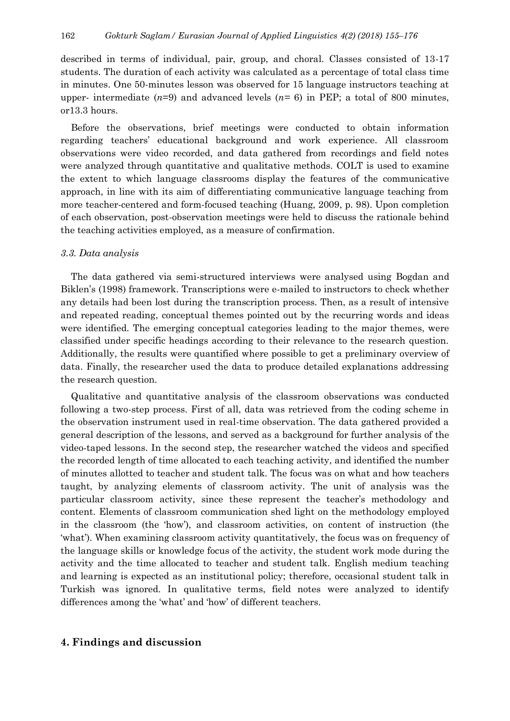described in terms of individual, pair, group, and choral. Classes consisted of 13-17 students. The duration of each activity was calculated as a percentage of total class time in minutes. One 50-minutes lesson was observed for 15 language instructors teaching at upper- intermediate  $(n=9)$  and advanced levels  $(n=6)$  in PEP; a total of 800 minutes, or13.3 hours.

Before the observations, brief meetings were conducted to obtain information regarding teachers' educational background and work experience. All classroom observations were video recorded, and data gathered from recordings and field notes were analyzed through quantitative and qualitative methods. COLT is used to examine the extent to which language classrooms display the features of the communicative approach, in line with its aim of differentiating communicative language teaching from more teacher-centered and form-focused teaching (Huang, 2009, p. 98). Upon completion of each observation, post-observation meetings were held to discuss the rationale behind the teaching activities employed, as a measure of confirmation.

#### *3.3. Data analysis*

The data gathered via semi-structured interviews were analysed using Bogdan and Biklen's (1998) framework. Transcriptions were e-mailed to instructors to check whether any details had been lost during the transcription process. Then, as a result of intensive and repeated reading, conceptual themes pointed out by the recurring words and ideas were identified. The emerging conceptual categories leading to the major themes, were classified under specific headings according to their relevance to the research question. Additionally, the results were quantified where possible to get a preliminary overview of data. Finally, the researcher used the data to produce detailed explanations addressing the research question.

Qualitative and quantitative analysis of the classroom observations was conducted following a two-step process. First of all, data was retrieved from the coding scheme in the observation instrument used in real-time observation. The data gathered provided a general description of the lessons, and served as a background for further analysis of the video-taped lessons. In the second step, the researcher watched the videos and specified the recorded length of time allocated to each teaching activity, and identified the number of minutes allotted to teacher and student talk. The focus was on what and how teachers taught, by analyzing elements of classroom activity. The unit of analysis was the particular classroom activity, since these represent the teacher's methodology and content. Elements of classroom communication shed light on the methodology employed in the classroom (the 'how'), and classroom activities, on content of instruction (the 'what'). When examining classroom activity quantitatively, the focus was on frequency of the language skills or knowledge focus of the activity, the student work mode during the activity and the time allocated to teacher and student talk. English medium teaching and learning is expected as an institutional policy; therefore, occasional student talk in Turkish was ignored. In qualitative terms, field notes were analyzed to identify differences among the 'what' and 'how' of different teachers.

## **4. Findings and discussion**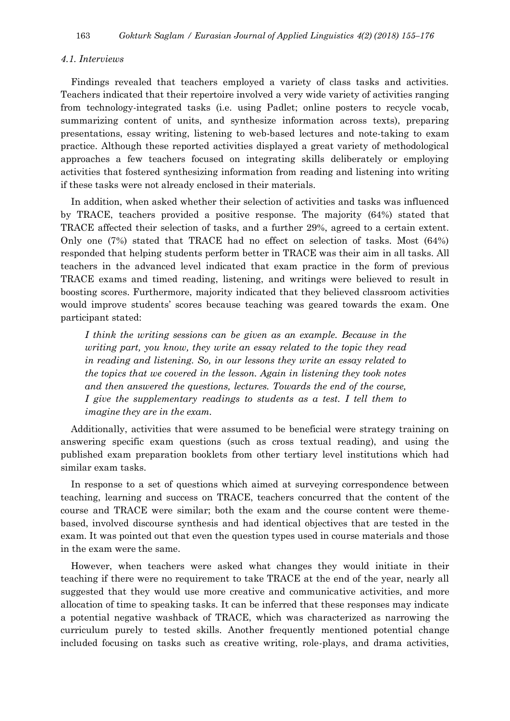#### *4.1. Interviews*

Findings revealed that teachers employed a variety of class tasks and activities. Teachers indicated that their repertoire involved a very wide variety of activities ranging from technology-integrated tasks (i.e. using Padlet; online posters to recycle vocab, summarizing content of units, and synthesize information across texts), preparing presentations, essay writing, listening to web-based lectures and note-taking to exam practice. Although these reported activities displayed a great variety of methodological approaches a few teachers focused on integrating skills deliberately or employing activities that fostered synthesizing information from reading and listening into writing if these tasks were not already enclosed in their materials.

In addition, when asked whether their selection of activities and tasks was influenced by TRACE, teachers provided a positive response. The majority (64%) stated that TRACE affected their selection of tasks, and a further 29%, agreed to a certain extent. Only one (7%) stated that TRACE had no effect on selection of tasks. Most (64%) responded that helping students perform better in TRACE was their aim in all tasks. All teachers in the advanced level indicated that exam practice in the form of previous TRACE exams and timed reading, listening, and writings were believed to result in boosting scores. Furthermore, majority indicated that they believed classroom activities would improve students' scores because teaching was geared towards the exam. One participant stated:

*I think the writing sessions can be given as an example. Because in the writing part, you know, they write an essay related to the topic they read in reading and listening. So, in our lessons they write an essay related to the topics that we covered in the lesson. Again in listening they took notes and then answered the questions, lectures. Towards the end of the course, I* give the supplementary readings to students as a test. *I tell them to imagine they are in the exam.*

Additionally, activities that were assumed to be beneficial were strategy training on answering specific exam questions (such as cross textual reading), and using the published exam preparation booklets from other tertiary level institutions which had similar exam tasks.

In response to a set of questions which aimed at surveying correspondence between teaching, learning and success on TRACE, teachers concurred that the content of the course and TRACE were similar; both the exam and the course content were themebased, involved discourse synthesis and had identical objectives that are tested in the exam. It was pointed out that even the question types used in course materials and those in the exam were the same.

However, when teachers were asked what changes they would initiate in their teaching if there were no requirement to take TRACE at the end of the year, nearly all suggested that they would use more creative and communicative activities, and more allocation of time to speaking tasks. It can be inferred that these responses may indicate a potential negative washback of TRACE, which was characterized as narrowing the curriculum purely to tested skills. Another frequently mentioned potential change included focusing on tasks such as creative writing, role-plays, and drama activities,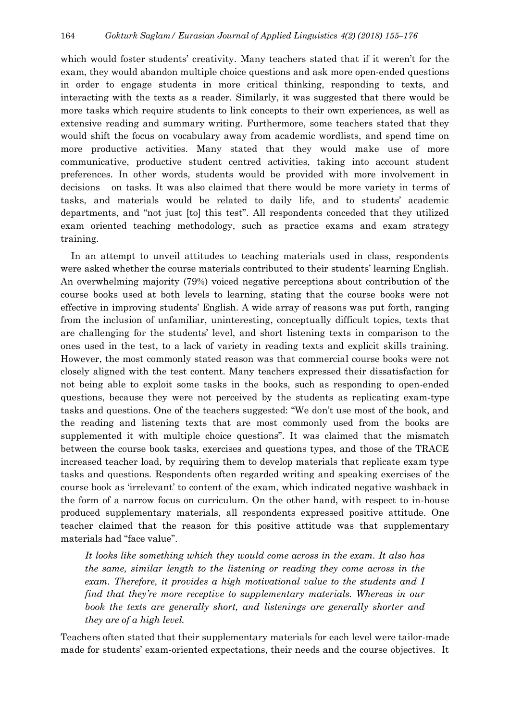which would foster students' creativity. Many teachers stated that if it weren't for the exam, they would abandon multiple choice questions and ask more open-ended questions in order to engage students in more critical thinking, responding to texts, and interacting with the texts as a reader. Similarly, it was suggested that there would be more tasks which require students to link concepts to their own experiences, as well as extensive reading and summary writing. Furthermore, some teachers stated that they would shift the focus on vocabulary away from academic wordlists, and spend time on more productive activities. Many stated that they would make use of more communicative, productive student centred activities, taking into account student preferences. In other words, students would be provided with more involvement in decisions on tasks. It was also claimed that there would be more variety in terms of tasks, and materials would be related to daily life, and to students' academic departments, and "not just [to] this test". All respondents conceded that they utilized exam oriented teaching methodology, such as practice exams and exam strategy training.

In an attempt to unveil attitudes to teaching materials used in class, respondents were asked whether the course materials contributed to their students' learning English. An overwhelming majority (79%) voiced negative perceptions about contribution of the course books used at both levels to learning, stating that the course books were not effective in improving students' English. A wide array of reasons was put forth, ranging from the inclusion of unfamiliar, uninteresting, conceptually difficult topics, texts that are challenging for the students' level, and short listening texts in comparison to the ones used in the test, to a lack of variety in reading texts and explicit skills training. However, the most commonly stated reason was that commercial course books were not closely aligned with the test content. Many teachers expressed their dissatisfaction for not being able to exploit some tasks in the books, such as responding to open-ended questions, because they were not perceived by the students as replicating exam-type tasks and questions. One of the teachers suggested: "We don't use most of the book, and the reading and listening texts that are most commonly used from the books are supplemented it with multiple choice questions". It was claimed that the mismatch between the course book tasks, exercises and questions types, and those of the TRACE increased teacher load, by requiring them to develop materials that replicate exam type tasks and questions. Respondents often regarded writing and speaking exercises of the course book as 'irrelevant' to content of the exam, which indicated negative washback in the form of a narrow focus on curriculum. On the other hand, with respect to in-house produced supplementary materials, all respondents expressed positive attitude. One teacher claimed that the reason for this positive attitude was that supplementary materials had "face value".

*It looks like something which they would come across in the exam. It also has the same, similar length to the listening or reading they come across in the exam. Therefore, it provides a high motivational value to the students and I find that they're more receptive to supplementary materials. Whereas in our book the texts are generally short, and listenings are generally shorter and they are of a high level.*

Teachers often stated that their supplementary materials for each level were tailor-made made for students' exam-oriented expectations, their needs and the course objectives. It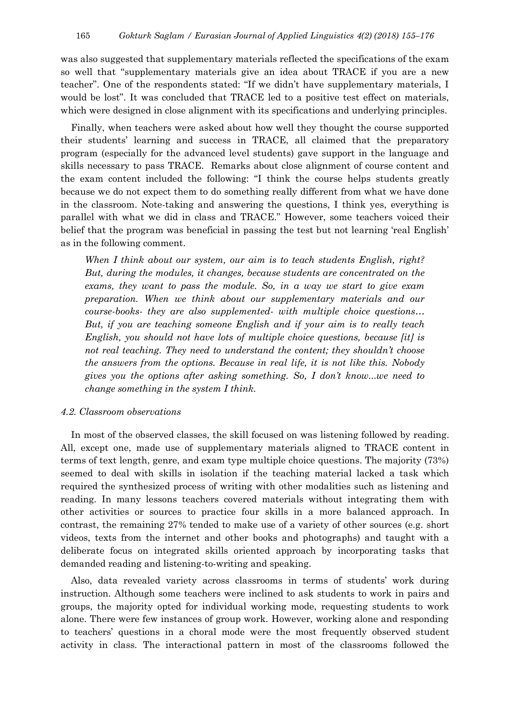was also suggested that supplementary materials reflected the specifications of the exam so well that "supplementary materials give an idea about TRACE if you are a new teacher". One of the respondents stated: "If we didn't have supplementary materials, I would be lost". It was concluded that TRACE led to a positive test effect on materials, which were designed in close alignment with its specifications and underlying principles.

Finally, when teachers were asked about how well they thought the course supported their students' learning and success in TRACE, all claimed that the preparatory program (especially for the advanced level students) gave support in the language and skills necessary to pass TRACE. Remarks about close alignment of course content and the exam content included the following: "I think the course helps students greatly because we do not expect them to do something really different from what we have done in the classroom. Note-taking and answering the questions, I think yes, everything is parallel with what we did in class and TRACE." However, some teachers voiced their belief that the program was beneficial in passing the test but not learning 'real English' as in the following comment.

*When I think about our system, our aim is to teach students English, right? But, during the modules, it changes, because students are concentrated on the exams, they want to pass the module. So, in a way we start to give exam preparation. When we think about our supplementary materials and our course-books- they are also supplemented- with multiple choice questions… But, if you are teaching someone English and if your aim is to really teach English, you should not have lots of multiple choice questions, because [it] is not real teaching. They need to understand the content; they shouldn't choose the answers from the options. Because in real life, it is not like this. Nobody gives you the options after asking something. So, I don't know...we need to change something in the system I think.*

#### *4.2. Classroom observations*

In most of the observed classes, the skill focused on was listening followed by reading. All, except one, made use of supplementary materials aligned to TRACE content in terms of text length, genre, and exam type multiple choice questions. The majority (73%) seemed to deal with skills in isolation if the teaching material lacked a task which required the synthesized process of writing with other modalities such as listening and reading. In many lessons teachers covered materials without integrating them with other activities or sources to practice four skills in a more balanced approach. In contrast, the remaining 27% tended to make use of a variety of other sources (e.g. short videos, texts from the internet and other books and photographs) and taught with a deliberate focus on integrated skills oriented approach by incorporating tasks that demanded reading and listening-to-writing and speaking.

Also, data revealed variety across classrooms in terms of students' work during instruction. Although some teachers were inclined to ask students to work in pairs and groups, the majority opted for individual working mode, requesting students to work alone. There were few instances of group work. However, working alone and responding to teachers' questions in a choral mode were the most frequently observed student activity in class. The interactional pattern in most of the classrooms followed the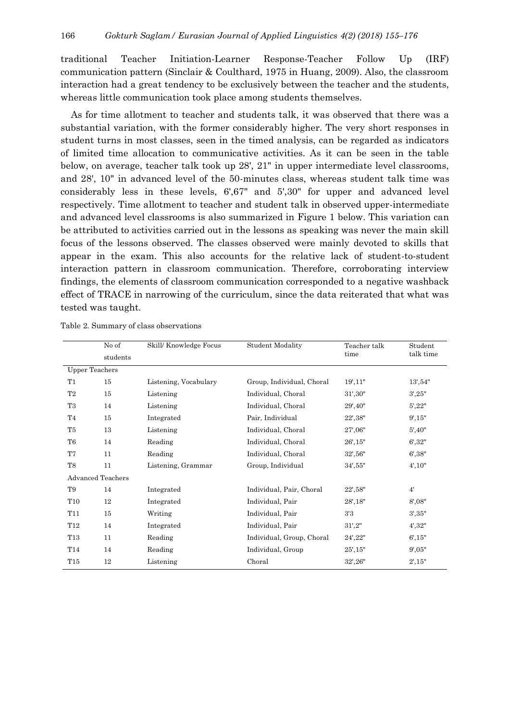traditional Teacher Initiation-Learner Response-Teacher Follow Up (IRF) communication pattern (Sinclair & Coulthard, 1975 in Huang, 2009). Also, the classroom interaction had a great tendency to be exclusively between the teacher and the students, whereas little communication took place among students themselves.

As for time allotment to teacher and students talk, it was observed that there was a substantial variation, with the former considerably higher. The very short responses in student turns in most classes, seen in the timed analysis, can be regarded as indicators of limited time allocation to communicative activities. As it can be seen in the table below, on average, teacher talk took up 28', 21" in upper intermediate level classrooms, and 28', 10" in advanced level of the 50-minutes class, whereas student talk time was considerably less in these levels, 6',67" and 5',30" for upper and advanced level respectively. Time allotment to teacher and student talk in observed upper-intermediate and advanced level classrooms is also summarized in Figure 1 below. This variation can be attributed to activities carried out in the lessons as speaking was never the main skill focus of the lessons observed. The classes observed were mainly devoted to skills that appear in the exam. This also accounts for the relative lack of student-to-student interaction pattern in classroom communication. Therefore, corroborating interview findings, the elements of classroom communication corresponded to a negative washback effect of TRACE in narrowing of the curriculum, since the data reiterated that what was tested was taught.

|                       | No of             | Skill/Knowledge Focus | <b>Student Modality</b>   | Teacher talk                  | Student   |
|-----------------------|-------------------|-----------------------|---------------------------|-------------------------------|-----------|
|                       | students          |                       |                           | time                          | talk time |
| <b>Upper Teachers</b> |                   |                       |                           |                               |           |
| T1                    | 15                | Listening, Vocabulary | Group, Individual, Choral | 19', 11"                      | 13', 54"  |
| T2                    | 15                | Listening             | Individual, Choral        | 31', 30''                     | 3',25"    |
| T3                    | 14                | Listening             | Individual, Choral        | 29',40"                       | 5', 22"   |
| T4                    | 15                | Integrated            | Pair, Individual          | $22^{\circ}\!,\!38^{\circ}\!$ | 9', 15"   |
| T5                    | 13                | Listening             | Individual, Choral        | 27',06"                       | 5', 40"   |
| T6                    | 14                | Reading               | Individual, Choral        | 26', 15"                      | 6', 32"   |
| T7                    | 11                | Reading               | Individual, Choral        | 32', 56"                      | 6', 38"   |
| T8                    | 11                | Listening, Grammar    | Group, Individual         | 34',55"                       | 4', 10''  |
|                       | Advanced Teachers |                       |                           |                               |           |
| T9                    | 14                | Integrated            | Individual, Pair, Choral  | 22',58"                       | 4'        |
| T <sub>10</sub>       | 12                | Integrated            | Individual, Pair          | 28', 18"                      | 8,08"     |
| <b>T11</b>            | 15                | Writing               | Individual, Pair          | 3'3                           | 3', 35"   |
| T12                   | 14                | Integrated            | Individual, Pair          | 31',2"                        | 4', 32"   |
| T13                   | 11                | Reading               | Individual, Group, Choral | 24',22"                       | 6', 15"   |
| T <sub>14</sub>       | 14                | Reading               | Individual, Group         | 25', 15"                      | 9',05"    |
| T15                   | 12                | Listening             | Choral                    | 32',26"                       | 2', 15"   |

Table 2. Summary of class observations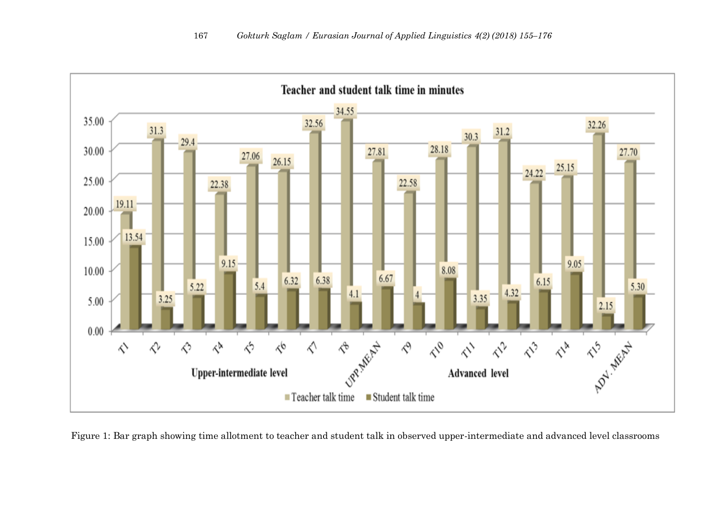

Figure 1: Bar graph showing time allotment to teacher and student talk in observed upper-intermediate and advanced level classrooms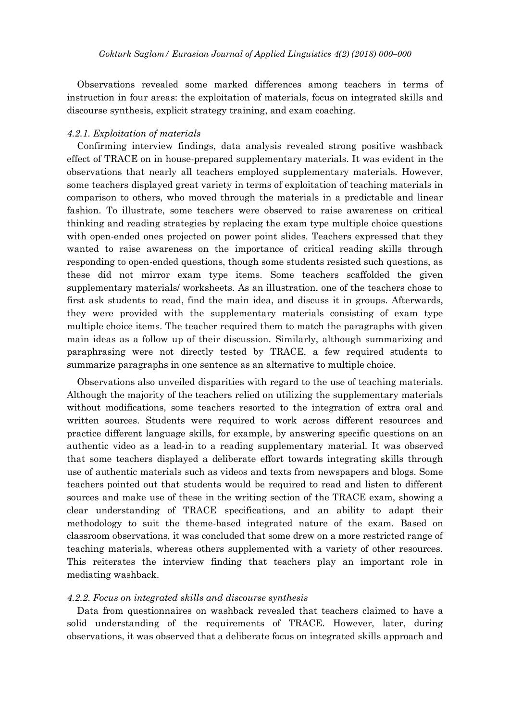Observations revealed some marked differences among teachers in terms of instruction in four areas: the exploitation of materials, focus on integrated skills and discourse synthesis, explicit strategy training, and exam coaching.

## *4.2.1. Exploitation of materials*

Confirming interview findings, data analysis revealed strong positive washback effect of TRACE on in house-prepared supplementary materials. It was evident in the observations that nearly all teachers employed supplementary materials. However, some teachers displayed great variety in terms of exploitation of teaching materials in comparison to others, who moved through the materials in a predictable and linear fashion. To illustrate, some teachers were observed to raise awareness on critical thinking and reading strategies by replacing the exam type multiple choice questions with open-ended ones projected on power point slides. Teachers expressed that they wanted to raise awareness on the importance of critical reading skills through responding to open-ended questions, though some students resisted such questions, as these did not mirror exam type items. Some teachers scaffolded the given supplementary materials/ worksheets. As an illustration, one of the teachers chose to first ask students to read, find the main idea, and discuss it in groups. Afterwards, they were provided with the supplementary materials consisting of exam type multiple choice items. The teacher required them to match the paragraphs with given main ideas as a follow up of their discussion. Similarly, although summarizing and paraphrasing were not directly tested by TRACE, a few required students to summarize paragraphs in one sentence as an alternative to multiple choice.

Observations also unveiled disparities with regard to the use of teaching materials. Although the majority of the teachers relied on utilizing the supplementary materials without modifications, some teachers resorted to the integration of extra oral and written sources. Students were required to work across different resources and practice different language skills, for example, by answering specific questions on an authentic video as a lead-in to a reading supplementary material. It was observed that some teachers displayed a deliberate effort towards integrating skills through use of authentic materials such as videos and texts from newspapers and blogs. Some teachers pointed out that students would be required to read and listen to different sources and make use of these in the writing section of the TRACE exam, showing a clear understanding of TRACE specifications, and an ability to adapt their methodology to suit the theme-based integrated nature of the exam. Based on classroom observations, it was concluded that some drew on a more restricted range of teaching materials, whereas others supplemented with a variety of other resources. This reiterates the interview finding that teachers play an important role in mediating washback.

## *4.2.2. Focus on integrated skills and discourse synthesis*

Data from questionnaires on washback revealed that teachers claimed to have a solid understanding of the requirements of TRACE. However, later, during observations, it was observed that a deliberate focus on integrated skills approach and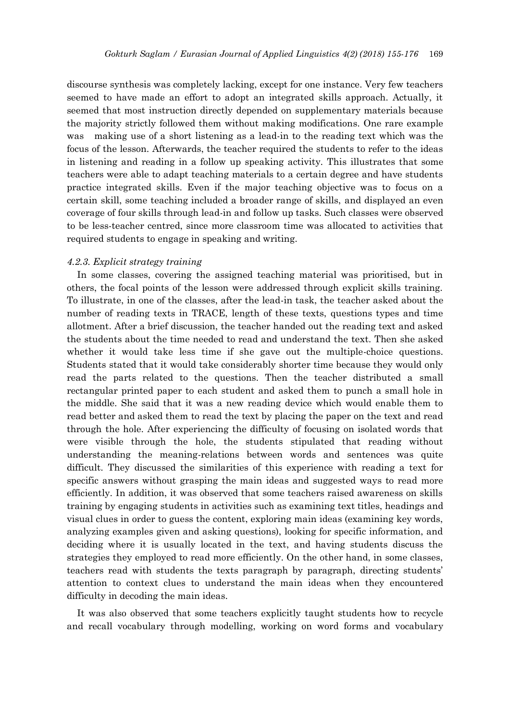discourse synthesis was completely lacking, except for one instance. Very few teachers seemed to have made an effort to adopt an integrated skills approach. Actually, it seemed that most instruction directly depended on supplementary materials because the majority strictly followed them without making modifications. One rare example was making use of a short listening as a lead-in to the reading text which was the focus of the lesson. Afterwards, the teacher required the students to refer to the ideas in listening and reading in a follow up speaking activity. This illustrates that some teachers were able to adapt teaching materials to a certain degree and have students practice integrated skills. Even if the major teaching objective was to focus on a certain skill, some teaching included a broader range of skills, and displayed an even coverage of four skills through lead-in and follow up tasks. Such classes were observed to be less-teacher centred, since more classroom time was allocated to activities that required students to engage in speaking and writing.

#### *4.2.3. Explicit strategy training*

In some classes, covering the assigned teaching material was prioritised, but in others, the focal points of the lesson were addressed through explicit skills training. To illustrate, in one of the classes, after the lead-in task, the teacher asked about the number of reading texts in TRACE, length of these texts, questions types and time allotment. After a brief discussion, the teacher handed out the reading text and asked the students about the time needed to read and understand the text. Then she asked whether it would take less time if she gave out the multiple-choice questions. Students stated that it would take considerably shorter time because they would only read the parts related to the questions. Then the teacher distributed a small rectangular printed paper to each student and asked them to punch a small hole in the middle. She said that it was a new reading device which would enable them to read better and asked them to read the text by placing the paper on the text and read through the hole. After experiencing the difficulty of focusing on isolated words that were visible through the hole, the students stipulated that reading without understanding the meaning-relations between words and sentences was quite difficult. They discussed the similarities of this experience with reading a text for specific answers without grasping the main ideas and suggested ways to read more efficiently. In addition, it was observed that some teachers raised awareness on skills training by engaging students in activities such as examining text titles, headings and visual clues in order to guess the content, exploring main ideas (examining key words, analyzing examples given and asking questions), looking for specific information, and deciding where it is usually located in the text, and having students discuss the strategies they employed to read more efficiently. On the other hand, in some classes, teachers read with students the texts paragraph by paragraph, directing students' attention to context clues to understand the main ideas when they encountered difficulty in decoding the main ideas.

It was also observed that some teachers explicitly taught students how to recycle and recall vocabulary through modelling, working on word forms and vocabulary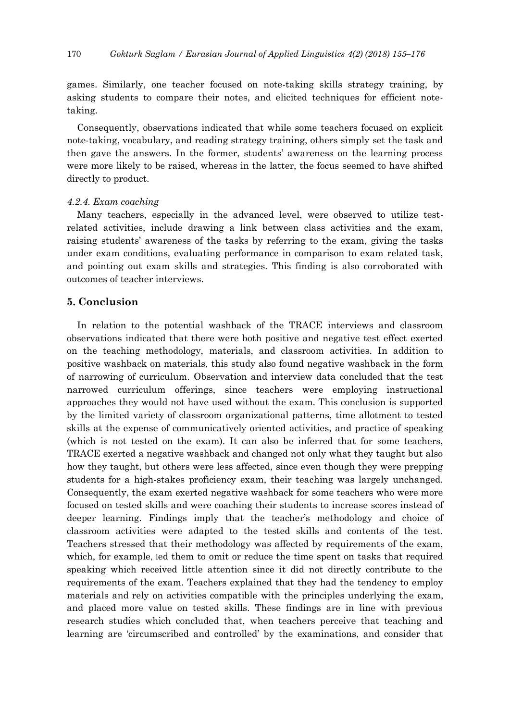games. Similarly, one teacher focused on note-taking skills strategy training, by asking students to compare their notes, and elicited techniques for efficient notetaking.

Consequently, observations indicated that while some teachers focused on explicit note-taking, vocabulary, and reading strategy training, others simply set the task and then gave the answers. In the former, students' awareness on the learning process were more likely to be raised, whereas in the latter, the focus seemed to have shifted directly to product.

## *4.2.4. Exam coaching*

Many teachers, especially in the advanced level, were observed to utilize testrelated activities, include drawing a link between class activities and the exam, raising students' awareness of the tasks by referring to the exam, giving the tasks under exam conditions, evaluating performance in comparison to exam related task, and pointing out exam skills and strategies. This finding is also corroborated with outcomes of teacher interviews.

## **5. Conclusion**

In relation to the potential washback of the TRACE interviews and classroom observations indicated that there were both positive and negative test effect exerted on the teaching methodology, materials, and classroom activities. In addition to positive washback on materials, this study also found negative washback in the form of narrowing of curriculum. Observation and interview data concluded that the test narrowed curriculum offerings, since teachers were employing instructional approaches they would not have used without the exam. This conclusion is supported by the limited variety of classroom organizational patterns, time allotment to tested skills at the expense of communicatively oriented activities, and practice of speaking (which is not tested on the exam). It can also be inferred that for some teachers, TRACE exerted a negative washback and changed not only what they taught but also how they taught, but others were less affected, since even though they were prepping students for a high-stakes proficiency exam, their teaching was largely unchanged. Consequently, the exam exerted negative washback for some teachers who were more focused on tested skills and were coaching their students to increase scores instead of deeper learning. Findings imply that the teacher's methodology and choice of classroom activities were adapted to the tested skills and contents of the test. Teachers stressed that their methodology was affected by requirements of the exam, which, for example, led them to omit or reduce the time spent on tasks that required speaking which received little attention since it did not directly contribute to the requirements of the exam. Teachers explained that they had the tendency to employ materials and rely on activities compatible with the principles underlying the exam, and placed more value on tested skills. These findings are in line with previous research studies which concluded that, when teachers perceive that teaching and learning are 'circumscribed and controlled' by the examinations, and consider that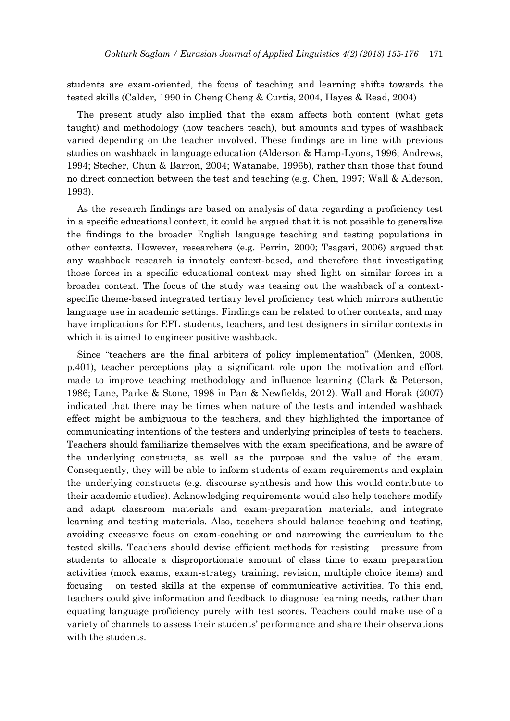students are exam-oriented, the focus of teaching and learning shifts towards the tested skills (Calder, 1990 in Cheng Cheng & Curtis, 2004, Hayes & Read, 2004)

The present study also implied that the exam affects both content (what gets taught) and methodology (how teachers teach), but amounts and types of washback varied depending on the teacher involved. These findings are in line with previous studies on washback in language education (Alderson & Hamp-Lyons, 1996; Andrews, 1994; Stecher, Chun & Barron, 2004; Watanabe, 1996b), rather than those that found no direct connection between the test and teaching (e.g. Chen, 1997; Wall & Alderson, 1993).

As the research findings are based on analysis of data regarding a proficiency test in a specific educational context, it could be argued that it is not possible to generalize the findings to the broader English language teaching and testing populations in other contexts. However, researchers (e.g. Perrin, 2000; Tsagari, 2006) argued that any washback research is innately context-based, and therefore that investigating those forces in a specific educational context may shed light on similar forces in a broader context. The focus of the study was teasing out the washback of a contextspecific theme-based integrated tertiary level proficiency test which mirrors authentic language use in academic settings. Findings can be related to other contexts, and may have implications for EFL students, teachers, and test designers in similar contexts in which it is aimed to engineer positive washback.

Since "teachers are the final arbiters of policy implementation" (Menken, 2008, p.401), teacher perceptions play a significant role upon the motivation and effort made to improve teaching methodology and influence learning (Clark & Peterson, 1986; Lane, Parke & Stone, 1998 in Pan & Newfields, 2012). Wall and Horak (2007) indicated that there may be times when nature of the tests and intended washback effect might be ambiguous to the teachers, and they highlighted the importance of communicating intentions of the testers and underlying principles of tests to teachers. Teachers should familiarize themselves with the exam specifications, and be aware of the underlying constructs, as well as the purpose and the value of the exam. Consequently, they will be able to inform students of exam requirements and explain the underlying constructs (e.g. discourse synthesis and how this would contribute to their academic studies). Acknowledging requirements would also help teachers modify and adapt classroom materials and exam-preparation materials, and integrate learning and testing materials. Also, teachers should balance teaching and testing, avoiding excessive focus on exam-coaching or and narrowing the curriculum to the tested skills. Teachers should devise efficient methods for resisting pressure from students to allocate a disproportionate amount of class time to exam preparation activities (mock exams, exam-strategy training, revision, multiple choice items) and focusing on tested skills at the expense of communicative activities. To this end, teachers could give information and feedback to diagnose learning needs, rather than equating language proficiency purely with test scores. Teachers could make use of a variety of channels to assess their students' performance and share their observations with the students.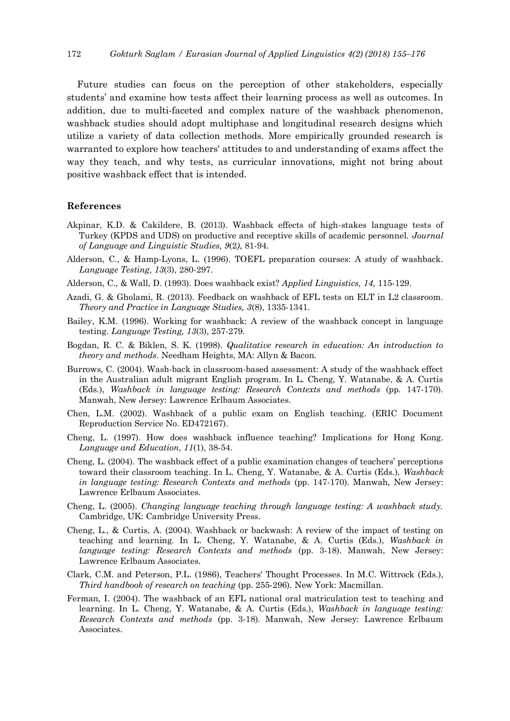Future studies can focus on the perception of other stakeholders, especially students' and examine how tests affect their learning process as well as outcomes. In addition, due to multi-faceted and complex nature of the washback phenomenon, washback studies should adopt multiphase and longitudinal research designs which utilize a variety of data collection methods. More empirically grounded research is warranted to explore how teachers' attitudes to and understanding of exams affect the way they teach, and why tests, as curricular innovations, might not bring about positive washback effect that is intended.

#### **References**

- Akpinar, K.D. & Cakildere, B. (2013). Washback effects of high-stakes language tests of Turkey (KPDS and UDS) on productive and receptive skills of academic personnel. *Journal of Language and Linguistic Studies, 9*(2*)*, 81-94.
- Alderson, C., & Hamp-Lyons, L. (1996). TOEFL preparation courses: A study of washback. *Language Testing, 13*(3), 280-297.
- Alderson, C., & Wall, D. (1993). Does washback exist? *Applied Linguistics, 14,* 115-129.
- Azadi, G. & Gholami, R. (2013). Feedback on washback of EFL tests on ELT in L2 classroom. *Theory and Practice in Language Studies, 3*(8), 1335-1341.
- Bailey, K.M. (1996). Working for washback: A review of the washback concept in language testing. *Language Testing, 13*(3), 257-279.
- Bogdan, R. C. & Biklen, S. K. (1998). *Qualitative research in education: An introduction to theory and methods*. Needham Heights, MA: Allyn & Bacon.
- Burrows, C. (2004). Wash-back in classroom-based assessment: A study of the washback effect in the Australian adult migrant English program. In L. Cheng, Y. Watanabe, & A. Curtis (Eds.), *Washback in language testing: Research Contexts and methods* (pp. 147-170). Manwah, New Jersey: Lawrence Erlbaum Associates.
- Chen, L.M. (2002). Washback of a public exam on English teaching. (ERIC Document Reproduction Service No. ED472167).
- Cheng, L. (1997). How does washback influence teaching? Implications for Hong Kong. *Language and Education, 11*(1), 38-54.
- Cheng, L. (2004). The washback effect of a public examination changes of teachers' perceptions toward their classroom teaching. In L. Cheng, Y. Watanabe, & A. Curtis (Eds.), *Washback in language testing: Research Contexts and methods* (pp. 147-170). Manwah, New Jersey: Lawrence Erlbaum Associates.
- Cheng, L. (2005). *Changing language teaching through language testing: A washback study.* Cambridge, UK: Cambridge University Press.
- Cheng, L., & Curtis, A. (2004). Washback or backwash: A review of the impact of testing on teaching and learning. In L. Cheng, Y. Watanabe, & A. Curtis (Eds.), *Washback in language testing: Research Contexts and methods* (pp. 3-18). Manwah, New Jersey: Lawrence Erlbaum Associates.
- Clark, C.M. and Peterson, P.L. (1986), Teachers' Thought Processes. In M.C. Wittrock (Eds.), *Third handbook of research on teaching* (pp. 255-296). New York: Macmillan.
- Ferman, I. (2004). The washback of an EFL national oral matriculation test to teaching and learning. In L. Cheng, Y. Watanabe, & A. Curtis (Eds.), *Washback in language testing: Research Contexts and methods* (pp. 3-18). Manwah, New Jersey: Lawrence Erlbaum Associates.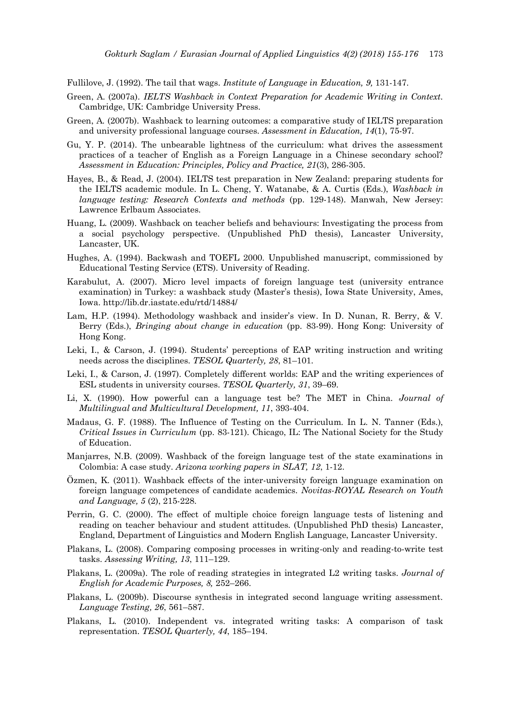Fullilove, J. (1992). The tail that wags. *Institute of Language in Education, 9,* 131-147.

- Green, A. (2007a). *IELTS Washback in Context Preparation for Academic Writing in Context.* Cambridge, UK: Cambridge University Press.
- Green, A. (2007b). Washback to learning outcomes: a comparative study of IELTS preparation and university professional language courses. *Assessment in Education, 14*(1), 75-97.
- Gu, Y. P. (2014). The unbearable lightness of the curriculum: what drives the assessment practices of a teacher of English as a Foreign Language in a Chinese secondary school? *Assessment in Education: Principles, Policy and Practice, 21*(3), 286-305.
- Hayes, B., & Read, J. (2004). IELTS test preparation in New Zealand: preparing students for the IELTS academic module. In L. Cheng, Y. Watanabe, & A. Curtis (Eds.), *Washback in language testing: Research Contexts and methods* (pp. 129-148). Manwah, New Jersey: Lawrence Erlbaum Associates.
- Huang, L. (2009). Washback on teacher beliefs and behaviours: Investigating the process from a social psychology perspective. (Unpublished PhD thesis), Lancaster University, Lancaster, UK.
- Hughes, A. (1994). Backwash and TOEFL 2000. Unpublished manuscript, commissioned by Educational Testing Service (ETS). University of Reading.
- Karabulut, A. (2007). Micro level impacts of foreign language test (university entrance examination) in Turkey: a washback study (Master's thesis), Iowa State University, Ames, Iowa. http://lib.dr.iastate.edu/rtd/14884/
- Lam, H.P. (1994). Methodology washback and insider's view. In D. Nunan, R. Berry, & V. Berry (Eds.), *Bringing about change in education* (pp. 83-99). Hong Kong: University of Hong Kong.
- Leki, I., & Carson, J. (1994). Students' perceptions of EAP writing instruction and writing needs across the disciplines. *TESOL Quarterly, 28*, 81–101.
- Leki, I., & Carson, J. (1997). Completely different worlds: EAP and the writing experiences of ESL students in university courses. *TESOL Quarterly, 31*, 39–69.
- Li, X. (1990). How powerful can a language test be? The MET in China. *Journal of Multilingual and Multicultural Development, 11*, 393-404.
- Madaus, G. F. (1988). The Influence of Testing on the Curriculum. In L. N. Tanner (Eds.), *Critical Issues in Curriculum* (pp. 83-121). Chicago, IL: The National Society for the Study of Education.
- Manjarres, N.B. (2009). Washback of the foreign language test of the state examinations in Colombia: A case study. *Arizona working papers in SLAT, 12*, 1-12.
- Özmen, K. (2011). Washback effects of the inter-university foreign language examination on foreign language competences of candidate academics. *Novitas-ROYAL Research on Youth and Language, 5* (2), 215-228.
- Perrin, G. C. (2000). The effect of multiple choice foreign language tests of listening and reading on teacher behaviour and student attitudes. (Unpublished PhD thesis) Lancaster, England, Department of Linguistics and Modern English Language, Lancaster University.
- Plakans, L. (2008). Comparing composing processes in writing-only and reading-to-write test tasks. *Assessing Writing, 13*, 111–129.
- Plakans, L. (2009a). The role of reading strategies in integrated L2 writing tasks. *Journal of English for Academic Purposes, 8,* 252–266.
- Plakans, L. (2009b). Discourse synthesis in integrated second language writing assessment. *Language Testing, 26*, 561–587.
- Plakans, L. (2010). Independent vs. integrated writing tasks: A comparison of task representation. *TESOL Quarterly, 44*, 185–194.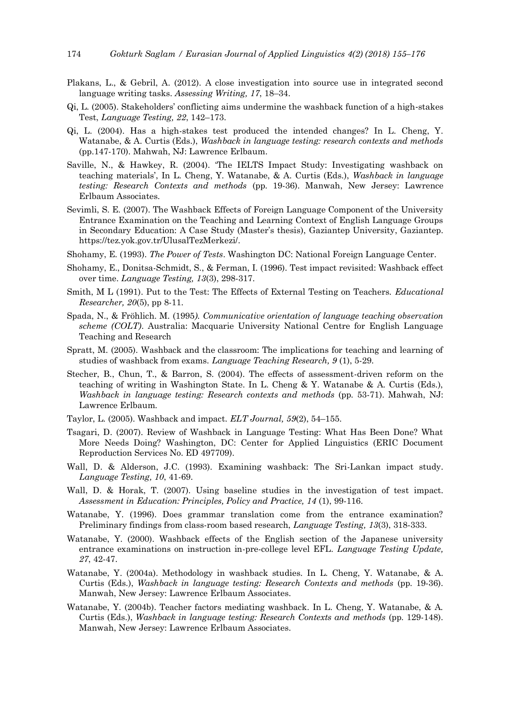- Plakans, L., & Gebril, A. (2012). A close investigation into source use in integrated second language writing tasks. *Assessing Writing, 17*, 18–34.
- Qi, L. (2005). Stakeholders' conflicting aims undermine the washback function of a high‐stakes Test, *Language Testing, 22*, 142–173.
- Qi, L. (2004). Has a high-stakes test produced the intended changes? In L. Cheng, Y. Watanabe, & A. Curtis (Eds.), *Washback in language testing: research contexts and methods* (pp.147-170). Mahwah, NJ: Lawrence Erlbaum.
- Saville, N., & Hawkey, R. (2004). 'The IELTS Impact Study: Investigating washback on teaching materials', In L. Cheng, Y. Watanabe, & A. Curtis (Eds.), *Washback in language testing: Research Contexts and methods* (pp. 19-36). Manwah, New Jersey: Lawrence Erlbaum Associates.
- Sevimli, S. E. (2007). The Washback Effects of Foreign Language Component of the University Entrance Examination on the Teaching and Learning Context of English Language Groups in Secondary Education: A Case Study (Master's thesis), Gaziantep University, Gaziantep. https://tez.yok.gov.tr/UlusalTezMerkezi/.
- Shohamy, E. (1993). *The Power of Tests*. Washington DC: National Foreign Language Center.
- Shohamy, E., Donitsa-Schmidt, S., & Ferman, I. (1996). Test impact revisited: Washback effect over time. *Language Testing, 13*(3), 298-317.
- Smith, M L (1991). Put to the Test: The Effects of External Testing on Teachers. *Educational Researcher, 20*(5), pp 8-11.
- Spada, N., & Fröhlich. M. (1995*). Communicative orientation of language teaching observation scheme (COLT)*. Australia: Macquarie University National Centre for English Language Teaching and Research
- Spratt, M. (2005). Washback and the classroom: The implications for teaching and learning of studies of washback from exams. *Language Teaching Research, 9* (1), 5-29.
- Stecher, B., Chun, T., & Barron, S. (2004). The effects of assessment-driven reform on the teaching of writing in Washington State. In L. Cheng & Y. Watanabe & A. Curtis (Eds.), *Washback in language testing: Research contexts and methods* (pp. 53-71). Mahwah, NJ: Lawrence Erlbaum.
- Taylor, L. (2005). Washback and impact. *ELT Journal, 59*(2), 54–155.
- Tsagari, D. (2007). Review of Washback in Language Testing: What Has Been Done? What More Needs Doing? Washington, DC: Center for Applied Linguistics (ERIC Document Reproduction Services No. ED 497709).
- Wall, D. & Alderson, J.C. (1993). Examining washback: The Sri-Lankan impact study. *Language Testing, 10*, 41-69.
- Wall, D. & Horak, T. (2007). Using baseline studies in the investigation of test impact. *Assessment in Education: Principles, Policy and Practice, 14* (1), 99-116.
- Watanabe, Y. (1996). Does grammar translation come from the entrance examination? Preliminary findings from class-room based research, *Language Testing, 13*(3), 318-333.
- Watanabe, Y. (2000). Washback effects of the English section of the Japanese university entrance examinations on instruction in-pre-college level EFL. *Language Testing Update, 27*, 42-47.
- Watanabe, Y. (2004a). Methodology in washback studies. In L. Cheng, Y. Watanabe, & A. Curtis (Eds.), *Washback in language testing: Research Contexts and methods* (pp. 19-36). Manwah, New Jersey: Lawrence Erlbaum Associates.
- Watanabe, Y. (2004b). Teacher factors mediating washback. In L. Cheng, Y. Watanabe, & A. Curtis (Eds.), *Washback in language testing: Research Contexts and methods* (pp. 129-148). Manwah, New Jersey: Lawrence Erlbaum Associates.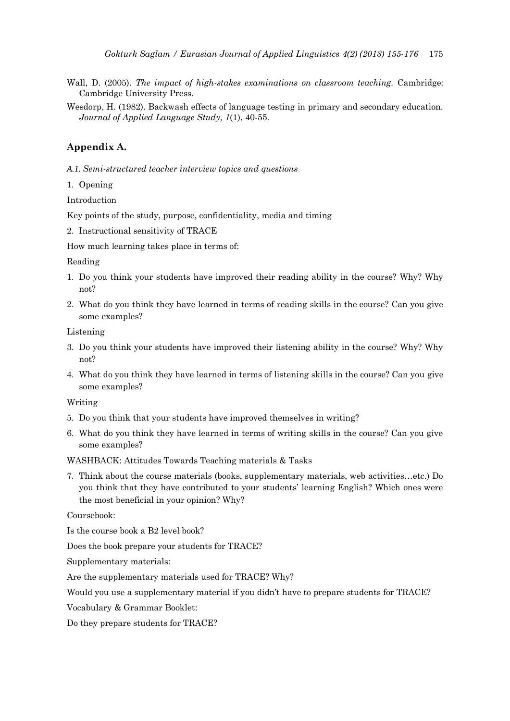- Wall, D. (2005). *The impact of high-stakes examinations on classroom teaching.* Cambridge: Cambridge University Press.
- Wesdorp, H. (1982). Backwash effects of language testing in primary and secondary education. *Journal of Applied Language Study, 1*(1), 40-55.

## **Appendix A.**

*A.1. Semi-structured teacher interview topics and questions* 

1. Opening

Introduction

Key points of the study, purpose, confidentiality, media and timing

2. Instructional sensitivity of TRACE

How much learning takes place in terms of:

Reading

- 1. Do you think your students have improved their reading ability in the course? Why? Why not?
- 2. What do you think they have learned in terms of reading skills in the course? Can you give some examples?

Listening

- 3. Do you think your students have improved their listening ability in the course? Why? Why not?
- 4. What do you think they have learned in terms of listening skills in the course? Can you give some examples?

Writing

- 5. Do you think that your students have improved themselves in writing?
- 6. What do you think they have learned in terms of writing skills in the course? Can you give some examples?

WASHBACK: Attitudes Towards Teaching materials & Tasks

7. Think about the course materials (books, supplementary materials, web activities…etc.) Do you think that they have contributed to your students' learning English? Which ones were the most beneficial in your opinion? Why?

Coursebook:

Is the course book a B2 level book?

Does the book prepare your students for TRACE?

Supplementary materials:

Are the supplementary materials used for TRACE? Why?

Would you use a supplementary material if you didn't have to prepare students for TRACE?

Vocabulary & Grammar Booklet:

Do they prepare students for TRACE?